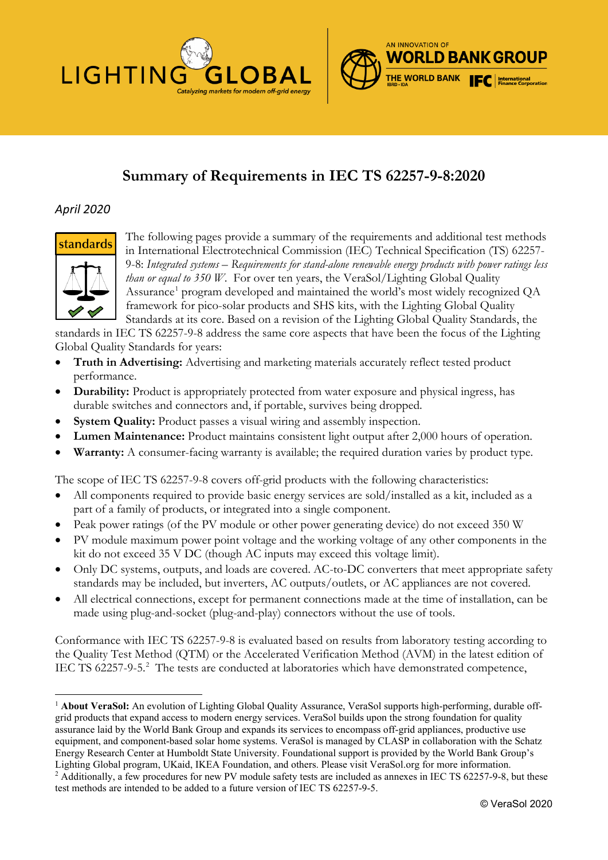



# **Summary of Requirements in IEC TS 62257-9-8:2020**

# *April 2020*



The following pages provide a summary of the requirements and additional test methods in International Electrotechnical Commission (IEC) Technical Specification (TS) 62257- 9-8: *Integrated systems – Requirements for stand-alone renewable energy products with power ratings less than or equal to 350 W*. For over ten years, the VeraSol/Lighting Global Quality Assurance<sup>1</sup> program developed and maintained the world's most widely recognized QA framework for pico-solar products and SHS kits, with the Lighting Global Quality Standards at its core. Based on a revision of the Lighting Global Quality Standards, the

standards in IEC TS 62257-9-8 address the same core aspects that have been the focus of the Lighting Global Quality Standards for years:

- **Truth in Advertising:** Advertising and marketing materials accurately reflect tested product performance.
- **Durability:** Product is appropriately protected from water exposure and physical ingress, has durable switches and connectors and, if portable, survives being dropped.
- **System Quality:** Product passes a visual wiring and assembly inspection.
- **Lumen Maintenance:** Product maintains consistent light output after 2,000 hours of operation.
- **Warranty:** A consumer-facing warranty is available; the required duration varies by product type.

The scope of IEC TS 62257-9-8 covers off-grid products with the following characteristics:

- All components required to provide basic energy services are sold/installed as a kit, included as a part of a family of products, or integrated into a single component.
- Peak power ratings (of the PV module or other power generating device) do not exceed 350 W
- PV module maximum power point voltage and the working voltage of any other components in the kit do not exceed 35 V DC (though AC inputs may exceed this voltage limit).
- Only DC systems, outputs, and loads are covered. AC-to-DC converters that meet appropriate safety standards may be included, but inverters, AC outputs/outlets, or AC appliances are not covered.
- All electrical connections, except for permanent connections made at the time of installation, can be made using plug-and-socket (plug-and-play) connectors without the use of tools.

Conformance with IEC TS 62257-9-8 is evaluated based on results from laboratory testing according to the Quality Test Method (QTM) or the Accelerated Verification Method (AVM) in the latest edition of IEC TS 6[2](#page-0-1)257-9-5.<sup>2</sup> The tests are conducted at laboratories which have demonstrated competence,

<span id="page-0-0"></span><sup>1</sup> **About VeraSol:** An evolution of Lighting Global Quality Assurance, VeraSol supports high-performing, durable offgrid products that expand access to modern energy services. VeraSol builds upon the strong foundation for quality assurance laid by the World Bank Group and expands its services to encompass off-grid appliances, productive use equipment, and component-based solar home systems. VeraSol is managed by CLASP in collaboration with the Schatz Energy Research Center at Humboldt State University. Foundational support is provided by the World Bank Group's Lighting Global program, UKaid, IKEA Foundation, and others. Please visit VeraSol.org for more information. <sup>2</sup> Additionally, a few procedures for new PV module safety tests are included as annexes in IEC TS 62257-9-8, but these

<span id="page-0-1"></span>test methods are intended to be added to a future version of IEC TS 62257-9-5.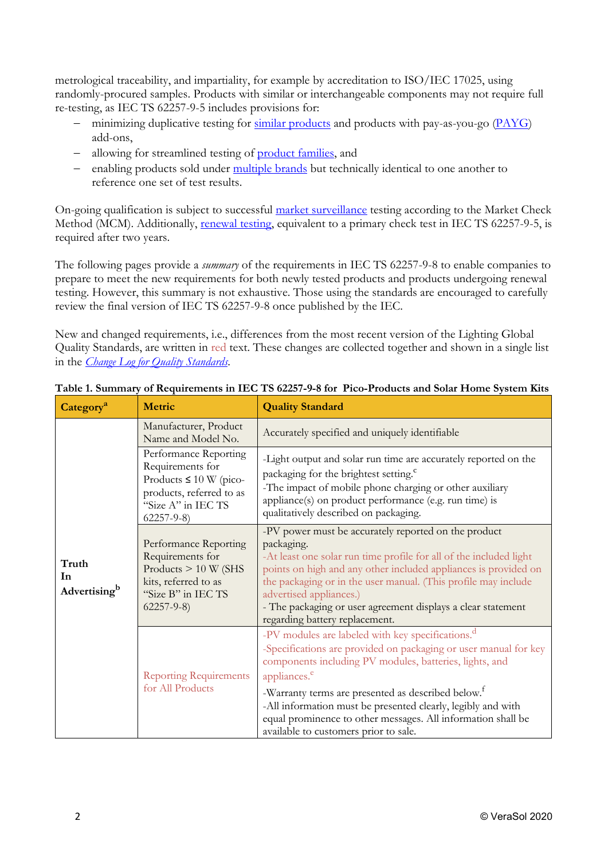metrological traceability, and impartiality, for example by accreditation to ISO/IEC 17025, using randomly-procured samples. Products with similar or interchangeable components may not require full re-testing, as IEC TS 62257-9-5 includes provisions for:

- − minimizing duplicative testing for [similar products](https://www.lightingglobal.org/resource/testing-similar-products-policy/) and products with pay-as-you-go [\(PAYG\)](https://www.lightingglobal.org/resource/quality-assurance-for-pay-as-you-go-energy-systems/) add-ons,
- − allowing for streamlined testing of [product families,](https://www.lightingglobal.org/resource/framework-for-testing-product-component-families/) and
- − enabling products sold under [multiple brands](https://www.lightingglobal.org/resource/co-branding-policy/) but technically identical to one another to reference one set of test results.

On-going qualification is subject to successful [market surveillance](https://www.lightingglobal.org/resource/market-check-testing-policy/) testing according to the Market Check Method (MCM). Additionally, [renewal testing,](https://www.lightingglobal.org/resource/policy-for-renewing-test-results/) equivalent to a primary check test in IEC TS 62257-9-5, is required after two years.

The following pages provide a *summary* of the requirements in IEC TS 62257-9-8 to enable companies to prepare to meet the new requirements for both newly tested products and products undergoing renewal testing. However, this summary is not exhaustive. Those using the standards are encouraged to carefully review the final version of IEC TS 62257-9-8 once published by the IEC.

New and changed requirements, i.e., differences from the most recent version of the Lighting Global Quality Standards, are written in red text. These changes are collected together and shown in a single list in the *[Change Log for Quality Standards](https://www.lightingglobal.org/resource/change-log-for-quality-standards)*.

| Category <sup>a</sup>                   | <b>Metric</b>                                                                                                                                 | <b>Quality Standard</b>                                                                                                                                                                                                                                                                                                                                                                                                                                             |  |  |
|-----------------------------------------|-----------------------------------------------------------------------------------------------------------------------------------------------|---------------------------------------------------------------------------------------------------------------------------------------------------------------------------------------------------------------------------------------------------------------------------------------------------------------------------------------------------------------------------------------------------------------------------------------------------------------------|--|--|
|                                         | Manufacturer, Product<br>Name and Model No.                                                                                                   | Accurately specified and uniquely identifiable                                                                                                                                                                                                                                                                                                                                                                                                                      |  |  |
|                                         | Performance Reporting<br>Requirements for<br>Products $\leq 10$ W (pico-<br>products, referred to as<br>"Size A" in IEC TS<br>$62257 - 9 - 8$ | -Light output and solar run time are accurately reported on the<br>packaging for the brightest setting. <sup>c</sup><br>-The impact of mobile phone charging or other auxiliary<br>appliance(s) on product performance (e.g. run time) is<br>qualitatively described on packaging.                                                                                                                                                                                  |  |  |
| Truth<br>In<br>Advertising <sup>b</sup> | Performance Reporting<br>Requirements for<br>Products $> 10 W$ (SHS<br>kits, referred to as<br>"Size B" in IEC TS<br>$62257 - 9 - 8$          | -PV power must be accurately reported on the product<br>packaging.<br>-At least one solar run time profile for all of the included light<br>points on high and any other included appliances is provided on<br>the packaging or in the user manual. (This profile may include<br>advertised appliances.)<br>- The packaging or user agreement displays a clear statement<br>regarding battery replacement.                                                          |  |  |
|                                         | <b>Reporting Requirements</b><br>for All Products                                                                                             | -PV modules are labeled with key specifications. <sup>d</sup><br>-Specifications are provided on packaging or user manual for key<br>components including PV modules, batteries, lights, and<br>appliances. <sup>e</sup><br>-Warranty terms are presented as described below. <sup>†</sup><br>-All information must be presented clearly, legibly and with<br>equal prominence to other messages. All information shall be<br>available to customers prior to sale. |  |  |

# **Table 1. Summary of Requirements in IEC TS 62257-9-8 for Pico-Products and Solar Home System Kits**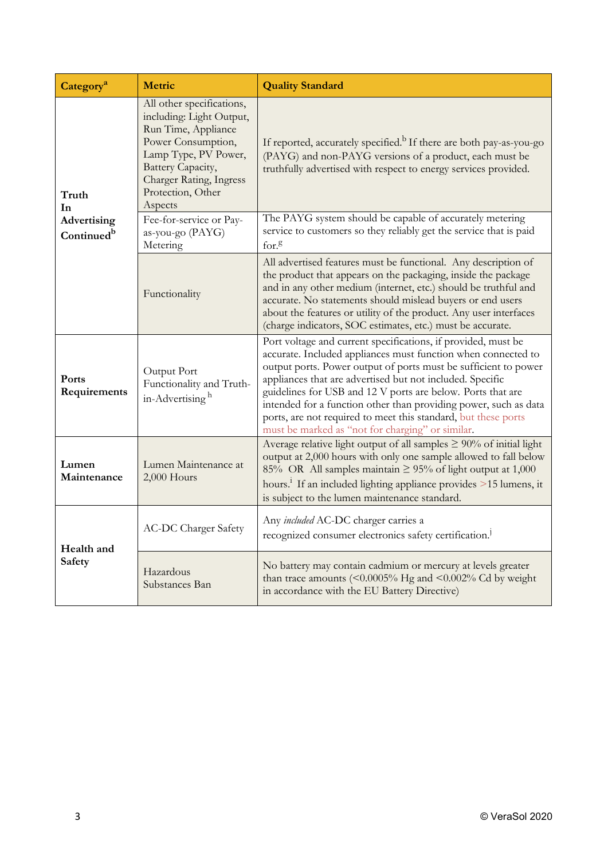| Category <sup>a</sup>                        | <b>Metric</b>                                                                                                                                                                                              | <b>Quality Standard</b>                                                                                                                                                                                                                                                                                                                                                                                                                                                                                                 |  |  |
|----------------------------------------------|------------------------------------------------------------------------------------------------------------------------------------------------------------------------------------------------------------|-------------------------------------------------------------------------------------------------------------------------------------------------------------------------------------------------------------------------------------------------------------------------------------------------------------------------------------------------------------------------------------------------------------------------------------------------------------------------------------------------------------------------|--|--|
| Truth<br>In                                  | All other specifications,<br>including: Light Output,<br>Run Time, Appliance<br>Power Consumption,<br>Lamp Type, PV Power,<br>Battery Capacity,<br>Charger Rating, Ingress<br>Protection, Other<br>Aspects | If reported, accurately specified. <sup>b</sup> If there are both pay-as-you-go<br>(PAYG) and non-PAYG versions of a product, each must be<br>truthfully advertised with respect to energy services provided.                                                                                                                                                                                                                                                                                                           |  |  |
| <b>Advertising</b><br>Continued <sup>b</sup> | Fee-for-service or Pay-<br>as-you-go (PAYG)<br>Metering                                                                                                                                                    | The PAYG system should be capable of accurately metering<br>service to customers so they reliably get the service that is paid<br>for.8                                                                                                                                                                                                                                                                                                                                                                                 |  |  |
|                                              | Functionality                                                                                                                                                                                              | All advertised features must be functional. Any description of<br>the product that appears on the packaging, inside the package<br>and in any other medium (internet, etc.) should be truthful and<br>accurate. No statements should mislead buyers or end users<br>about the features or utility of the product. Any user interfaces<br>(charge indicators, SOC estimates, etc.) must be accurate.                                                                                                                     |  |  |
| Ports<br>Requirements                        | Output Port<br>Functionality and Truth-<br>in-Advertising <sup>h</sup>                                                                                                                                     | Port voltage and current specifications, if provided, must be<br>accurate. Included appliances must function when connected to<br>output ports. Power output of ports must be sufficient to power<br>appliances that are advertised but not included. Specific<br>guidelines for USB and 12 V ports are below. Ports that are<br>intended for a function other than providing power, such as data<br>ports, are not required to meet this standard, but these ports<br>must be marked as "not for charging" or similar. |  |  |
| Lumen<br>Maintenance                         | Lumen Maintenance at<br>2,000 Hours                                                                                                                                                                        | Average relative light output of all samples $\geq 90\%$ of initial light<br>output at 2,000 hours with only one sample allowed to fall below<br>85% OR All samples maintain $\geq$ 95% of light output at 1,000<br>hours. <sup>1</sup> If an included lighting appliance provides >15 lumens, it<br>is subject to the lumen maintenance standard.                                                                                                                                                                      |  |  |
| Health and<br>Safety                         | <b>AC-DC Charger Safety</b>                                                                                                                                                                                | Any included AC-DC charger carries a<br>recognized consumer electronics safety certification. <sup>1</sup>                                                                                                                                                                                                                                                                                                                                                                                                              |  |  |
|                                              | Hazardous<br>Substances Ban                                                                                                                                                                                | No battery may contain cadmium or mercury at levels greater<br>than trace amounts (<0.0005% Hg and <0.002% Cd by weight<br>in accordance with the EU Battery Directive)                                                                                                                                                                                                                                                                                                                                                 |  |  |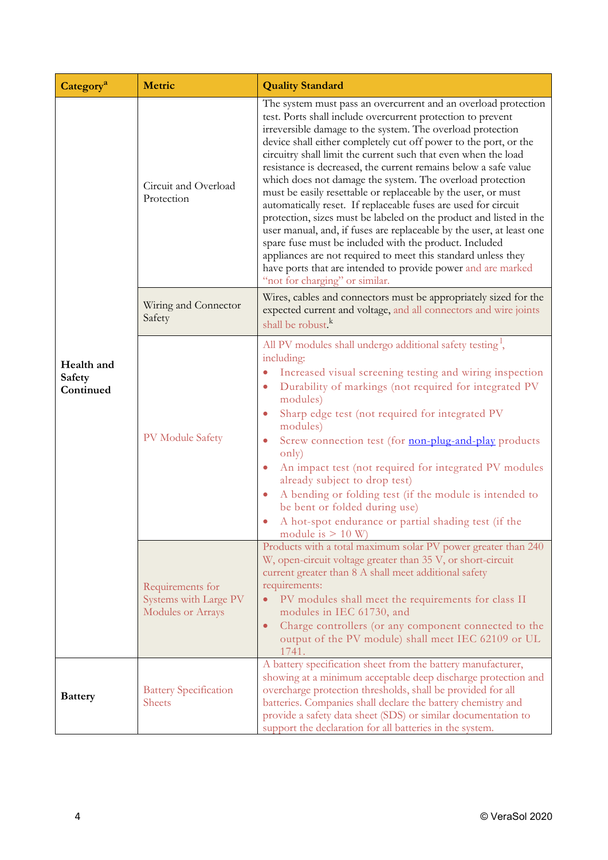| Category <sup>a</sup>             | Metric                                                         | <b>Quality Standard</b>                                                                                                                                                                                                                                                                                                                                                                                                                                                                                                                                                                                                                                                                                                                                                                                                                                                                                                                                                         |  |  |
|-----------------------------------|----------------------------------------------------------------|---------------------------------------------------------------------------------------------------------------------------------------------------------------------------------------------------------------------------------------------------------------------------------------------------------------------------------------------------------------------------------------------------------------------------------------------------------------------------------------------------------------------------------------------------------------------------------------------------------------------------------------------------------------------------------------------------------------------------------------------------------------------------------------------------------------------------------------------------------------------------------------------------------------------------------------------------------------------------------|--|--|
|                                   | Circuit and Overload<br>Protection                             | The system must pass an overcurrent and an overload protection<br>test. Ports shall include overcurrent protection to prevent<br>irreversible damage to the system. The overload protection<br>device shall either completely cut off power to the port, or the<br>circuitry shall limit the current such that even when the load<br>resistance is decreased, the current remains below a safe value<br>which does not damage the system. The overload protection<br>must be easily resettable or replaceable by the user, or must<br>automatically reset. If replaceable fuses are used for circuit<br>protection, sizes must be labeled on the product and listed in the<br>user manual, and, if fuses are replaceable by the user, at least one<br>spare fuse must be included with the product. Included<br>appliances are not required to meet this standard unless they<br>have ports that are intended to provide power and are marked<br>"not for charging" or similar. |  |  |
|                                   | Wiring and Connector<br>Safety                                 | Wires, cables and connectors must be appropriately sized for the<br>expected current and voltage, and all connectors and wire joints<br>shall be robust. <sup>k</sup>                                                                                                                                                                                                                                                                                                                                                                                                                                                                                                                                                                                                                                                                                                                                                                                                           |  |  |
| Health and<br>Safety<br>Continued | PV Module Safety                                               | All PV modules shall undergo additional safety testing <sup>1</sup> ,<br>including:<br>Increased visual screening testing and wiring inspection<br>$\bullet$<br>Durability of markings (not required for integrated PV<br>$\bullet$<br>modules)<br>Sharp edge test (not required for integrated PV<br>modules)<br>Screw connection test (for non-plug-and-play products<br>$\bullet$<br>only)<br>An impact test (not required for integrated PV modules<br>already subject to drop test)<br>A bending or folding test (if the module is intended to<br>$\bullet$<br>be bent or folded during use)<br>A hot-spot endurance or partial shading test (if the<br>module is $> 10$ W)                                                                                                                                                                                                                                                                                                |  |  |
|                                   | Requirements for<br>Systems with Large PV<br>Modules or Arrays | Products with a total maximum solar PV power greater than 240<br>W, open-circuit voltage greater than 35 V, or short-circuit<br>current greater than 8 A shall meet additional safety<br>requirements:<br>PV modules shall meet the requirements for class II<br>modules in IEC 61730, and<br>Charge controllers (or any component connected to the<br>output of the PV module) shall meet IEC 62109 or UL<br>1741.                                                                                                                                                                                                                                                                                                                                                                                                                                                                                                                                                             |  |  |
| <b>Battery</b>                    | <b>Battery Specification</b><br><b>Sheets</b>                  | A battery specification sheet from the battery manufacturer,<br>showing at a minimum acceptable deep discharge protection and<br>overcharge protection thresholds, shall be provided for all<br>batteries. Companies shall declare the battery chemistry and<br>provide a safety data sheet (SDS) or similar documentation to<br>support the declaration for all batteries in the system.                                                                                                                                                                                                                                                                                                                                                                                                                                                                                                                                                                                       |  |  |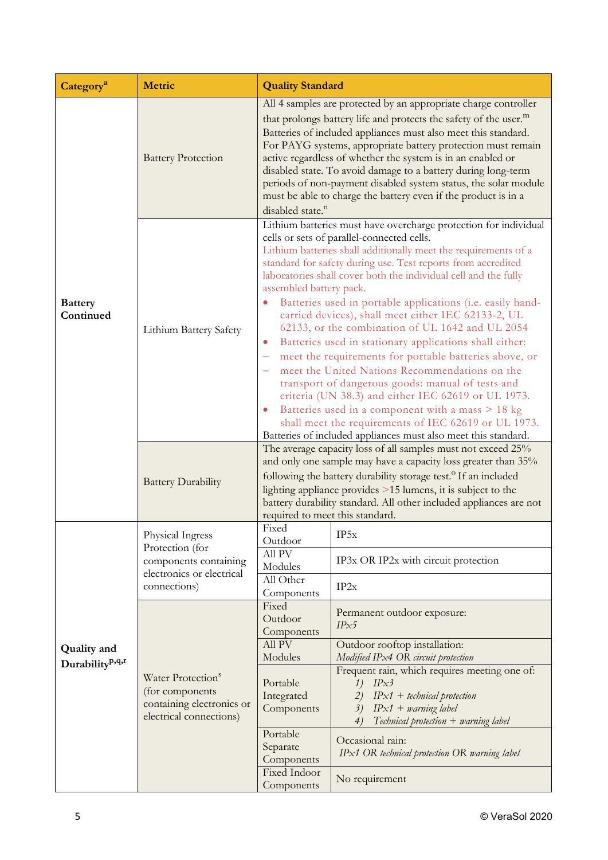| Category <sup>a</sup>                             | Metric                                                                                                    | <b>Quality Standard</b>                                                                                                                                                                                                                                                                                                                                                                                                                                                                                                                                                                                                                                                                                                                                                                                                                                                                                                                                                                                                   |                                                                                                                                                                                                                                                                                                                                                                                          |  |
|---------------------------------------------------|-----------------------------------------------------------------------------------------------------------|---------------------------------------------------------------------------------------------------------------------------------------------------------------------------------------------------------------------------------------------------------------------------------------------------------------------------------------------------------------------------------------------------------------------------------------------------------------------------------------------------------------------------------------------------------------------------------------------------------------------------------------------------------------------------------------------------------------------------------------------------------------------------------------------------------------------------------------------------------------------------------------------------------------------------------------------------------------------------------------------------------------------------|------------------------------------------------------------------------------------------------------------------------------------------------------------------------------------------------------------------------------------------------------------------------------------------------------------------------------------------------------------------------------------------|--|
|                                                   | <b>Battery Protection</b>                                                                                 | All 4 samples are protected by an appropriate charge controller<br>that prolongs battery life and protects the safety of the user. <sup>m</sup><br>Batteries of included appliances must also meet this standard.<br>For PAYG systems, appropriate battery protection must remain<br>active regardless of whether the system is in an enabled or<br>disabled state. To avoid damage to a battery during long-term<br>periods of non-payment disabled system status, the solar module<br>must be able to charge the battery even if the product is in a<br>disabled state. <sup>n</sup>                                                                                                                                                                                                                                                                                                                                                                                                                                    |                                                                                                                                                                                                                                                                                                                                                                                          |  |
| <b>Battery</b><br>Continued                       | Lithium Battery Safety                                                                                    | Lithium batteries must have overcharge protection for individual<br>cells or sets of parallel-connected cells.<br>Lithium batteries shall additionally meet the requirements of a<br>standard for safety during use. Test reports from accredited<br>laboratories shall cover both the individual cell and the fully<br>assembled battery pack.<br>Batteries used in portable applications (i.e. easily hand-<br>carried devices), shall meet either IEC 62133-2, UL<br>62133, or the combination of UL 1642 and UL 2054<br>Batteries used in stationary applications shall either:<br>$\bullet$<br>meet the requirements for portable batteries above, or<br>÷<br>meet the United Nations Recommendations on the<br>transport of dangerous goods: manual of tests and<br>criteria (UN 38.3) and either IEC 62619 or UL 1973.<br>Batteries used in a component with a mass > 18 kg<br>$\bullet$<br>shall meet the requirements of IEC 62619 or UL 1973.<br>Batteries of included appliances must also meet this standard. |                                                                                                                                                                                                                                                                                                                                                                                          |  |
|                                                   | <b>Battery Durability</b>                                                                                 | The average capacity loss of all samples must not exceed 25%<br>and only one sample may have a capacity loss greater than 35%<br>following the battery durability storage test. <sup>o</sup> If an included<br>lighting appliance provides >15 lumens, it is subject to the<br>battery durability standard. All other included appliances are not<br>required to meet this standard.                                                                                                                                                                                                                                                                                                                                                                                                                                                                                                                                                                                                                                      |                                                                                                                                                                                                                                                                                                                                                                                          |  |
| <b>Quality</b> and<br>Durability <sup>p,q,r</sup> | Physical Ingress<br>Protection (for<br>components containing<br>electronics or electrical<br>connections) | Fixed<br>Outdoor                                                                                                                                                                                                                                                                                                                                                                                                                                                                                                                                                                                                                                                                                                                                                                                                                                                                                                                                                                                                          | IP5x                                                                                                                                                                                                                                                                                                                                                                                     |  |
|                                                   |                                                                                                           | All PV<br>Modules<br>All Other<br>Components                                                                                                                                                                                                                                                                                                                                                                                                                                                                                                                                                                                                                                                                                                                                                                                                                                                                                                                                                                              | IP3x OR IP2x with circuit protection<br>IP2x                                                                                                                                                                                                                                                                                                                                             |  |
|                                                   | Water Protection <sup>s</sup><br>(for components)<br>containing electronics or<br>electrical connections) | Fixed<br>Outdoor<br>Components<br>All PV<br>Modules<br>Portable<br>Integrated<br>Components<br>Portable<br>Separate<br>Components<br>Fixed Indoor<br>Components                                                                                                                                                                                                                                                                                                                                                                                                                                                                                                                                                                                                                                                                                                                                                                                                                                                           | Permanent outdoor exposure:<br>IPx5<br>Outdoor rooftop installation:<br>Modified IPx4 OR circuit protection<br>Frequent rain, which requires meeting one of:<br>1)<br>IPx3<br>$IPx1 + technical protection$<br>2)<br>$IPx1 + warning label$<br>3)<br>$Technical protection + warning label$<br>4)<br>Occasional rain:<br>IPx1 OR technical protection OR warning label<br>No requirement |  |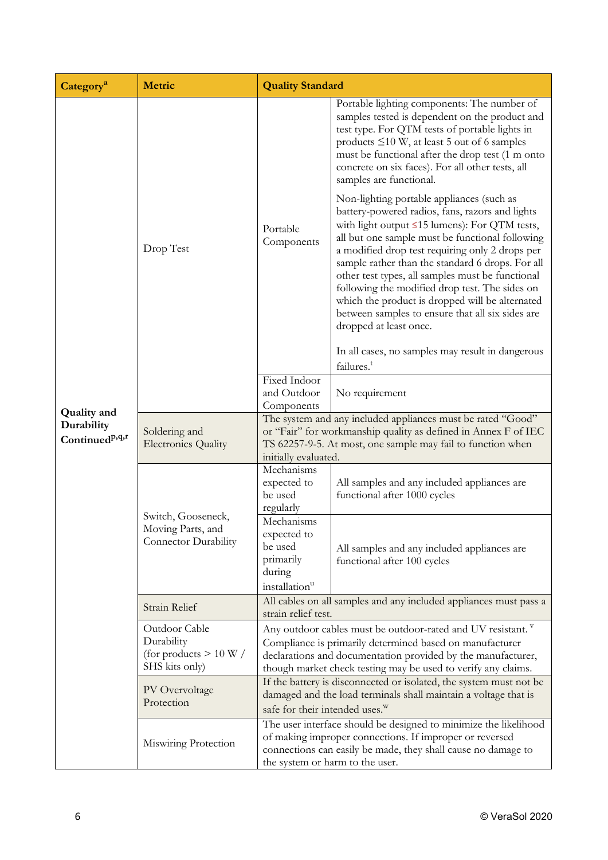| Category <sup>a</sup>                                          | Metric                                                                    | <b>Quality Standard</b>                                                                                                                                                                                                                                                       |                                                                                                                                                                                                                                                                                                                                                                                                                                                                                                                                                      |  |
|----------------------------------------------------------------|---------------------------------------------------------------------------|-------------------------------------------------------------------------------------------------------------------------------------------------------------------------------------------------------------------------------------------------------------------------------|------------------------------------------------------------------------------------------------------------------------------------------------------------------------------------------------------------------------------------------------------------------------------------------------------------------------------------------------------------------------------------------------------------------------------------------------------------------------------------------------------------------------------------------------------|--|
|                                                                | Drop Test                                                                 |                                                                                                                                                                                                                                                                               | Portable lighting components: The number of<br>samples tested is dependent on the product and<br>test type. For QTM tests of portable lights in<br>products $\leq 10$ W, at least 5 out of 6 samples<br>must be functional after the drop test (1 m onto<br>concrete on six faces). For all other tests, all<br>samples are functional.                                                                                                                                                                                                              |  |
|                                                                |                                                                           | Portable<br>Components                                                                                                                                                                                                                                                        | Non-lighting portable appliances (such as<br>battery-powered radios, fans, razors and lights<br>with light output $\leq$ 15 lumens): For QTM tests,<br>all but one sample must be functional following<br>a modified drop test requiring only 2 drops per<br>sample rather than the standard 6 drops. For all<br>other test types, all samples must be functional<br>following the modified drop test. The sides on<br>which the product is dropped will be alternated<br>between samples to ensure that all six sides are<br>dropped at least once. |  |
|                                                                |                                                                           |                                                                                                                                                                                                                                                                               | In all cases, no samples may result in dangerous<br>failures. <sup>t</sup>                                                                                                                                                                                                                                                                                                                                                                                                                                                                           |  |
|                                                                |                                                                           | Fixed Indoor<br>and Outdoor<br>Components                                                                                                                                                                                                                                     | No requirement                                                                                                                                                                                                                                                                                                                                                                                                                                                                                                                                       |  |
| <b>Quality and</b><br>Durability<br>Continued <sup>p,q,r</sup> | Soldering and<br><b>Electronics Quality</b>                               | The system and any included appliances must be rated "Good"<br>or "Fair" for workmanship quality as defined in Annex F of IEC<br>TS 62257-9-5. At most, one sample may fail to function when<br>initially evaluated.                                                          |                                                                                                                                                                                                                                                                                                                                                                                                                                                                                                                                                      |  |
|                                                                | Switch, Gooseneck,<br>Moving Parts, and<br><b>Connector Durability</b>    | Mechanisms<br>expected to<br>be used<br>regularly                                                                                                                                                                                                                             | All samples and any included appliances are<br>functional after 1000 cycles                                                                                                                                                                                                                                                                                                                                                                                                                                                                          |  |
|                                                                |                                                                           | Mechanisms<br>expected to<br>be used<br>primarily<br>during<br>installation <sup>u</sup>                                                                                                                                                                                      | All samples and any included appliances are<br>functional after 100 cycles                                                                                                                                                                                                                                                                                                                                                                                                                                                                           |  |
|                                                                | Strain Relief                                                             | All cables on all samples and any included appliances must pass a<br>strain relief test.                                                                                                                                                                                      |                                                                                                                                                                                                                                                                                                                                                                                                                                                                                                                                                      |  |
|                                                                | Outdoor Cable<br>Durability<br>(for products $> 10 W /$<br>SHS kits only) | Any outdoor cables must be outdoor-rated and UV resistant. V<br>Compliance is primarily determined based on manufacturer<br>declarations and documentation provided by the manufacturer,<br>though market check testing may be used to verify any claims.                     |                                                                                                                                                                                                                                                                                                                                                                                                                                                                                                                                                      |  |
|                                                                | PV Overvoltage<br>Protection                                              | If the battery is disconnected or isolated, the system must not be<br>damaged and the load terminals shall maintain a voltage that is                                                                                                                                         |                                                                                                                                                                                                                                                                                                                                                                                                                                                                                                                                                      |  |
|                                                                | Miswiring Protection                                                      | safe for their intended uses. <sup>W</sup><br>The user interface should be designed to minimize the likelihood<br>of making improper connections. If improper or reversed<br>connections can easily be made, they shall cause no damage to<br>the system or harm to the user. |                                                                                                                                                                                                                                                                                                                                                                                                                                                                                                                                                      |  |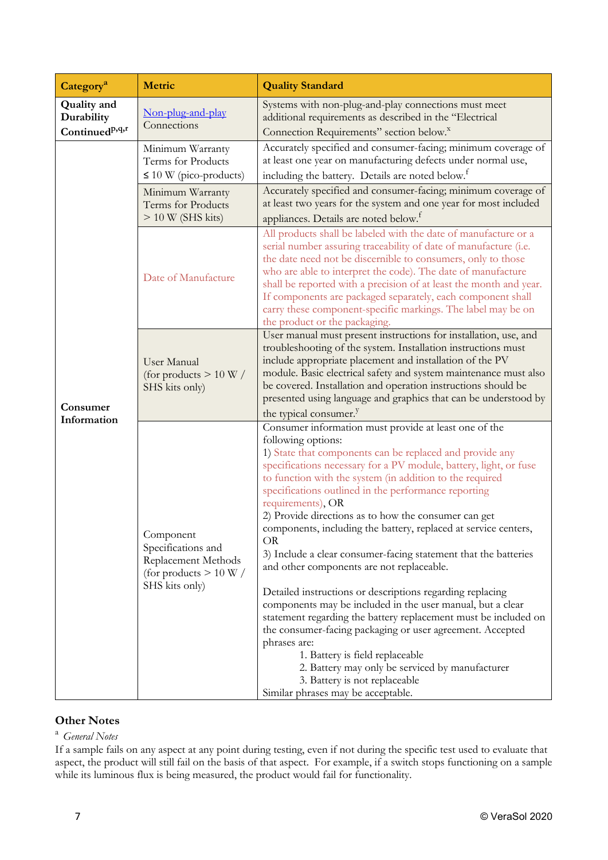| Category <sup>a</sup>                                          | Metric                                                                                               | <b>Quality Standard</b>                                                                                                                                                                                                                                                                                                                                                                                                                                                                                                                                                                                                                                                                                                                                                                                                                                                                                                                                                                                                                               |  |  |
|----------------------------------------------------------------|------------------------------------------------------------------------------------------------------|-------------------------------------------------------------------------------------------------------------------------------------------------------------------------------------------------------------------------------------------------------------------------------------------------------------------------------------------------------------------------------------------------------------------------------------------------------------------------------------------------------------------------------------------------------------------------------------------------------------------------------------------------------------------------------------------------------------------------------------------------------------------------------------------------------------------------------------------------------------------------------------------------------------------------------------------------------------------------------------------------------------------------------------------------------|--|--|
| <b>Quality</b> and<br>Durability<br>Continued <sup>p,q,r</sup> | Non-plug-and-play<br>Connections                                                                     | Systems with non-plug-and-play connections must meet<br>additional requirements as described in the "Electrical<br>Connection Requirements" section below. <sup>x</sup>                                                                                                                                                                                                                                                                                                                                                                                                                                                                                                                                                                                                                                                                                                                                                                                                                                                                               |  |  |
|                                                                | Minimum Warranty<br>Terms for Products<br>$\leq 10$ W (pico-products)                                | Accurately specified and consumer-facing; minimum coverage of<br>at least one year on manufacturing defects under normal use,<br>including the battery. Details are noted below. <sup>f</sup>                                                                                                                                                                                                                                                                                                                                                                                                                                                                                                                                                                                                                                                                                                                                                                                                                                                         |  |  |
|                                                                | Minimum Warranty<br>Terms for Products<br>$> 10 W$ (SHS kits)                                        | Accurately specified and consumer-facing; minimum coverage of<br>at least two years for the system and one year for most included<br>appliances. Details are noted below. <sup>f</sup>                                                                                                                                                                                                                                                                                                                                                                                                                                                                                                                                                                                                                                                                                                                                                                                                                                                                |  |  |
|                                                                | Date of Manufacture                                                                                  | All products shall be labeled with the date of manufacture or a<br>serial number assuring traceability of date of manufacture (i.e.<br>the date need not be discernible to consumers, only to those<br>who are able to interpret the code). The date of manufacture<br>shall be reported with a precision of at least the month and year.<br>If components are packaged separately, each component shall<br>carry these component-specific markings. The label may be on<br>the product or the packaging.                                                                                                                                                                                                                                                                                                                                                                                                                                                                                                                                             |  |  |
| Consumer<br>Information                                        | <b>User Manual</b><br>(for products $> 10 W /$<br>SHS kits only)                                     | User manual must present instructions for installation, use, and<br>troubleshooting of the system. Installation instructions must<br>include appropriate placement and installation of the PV<br>module. Basic electrical safety and system maintenance must also<br>be covered. Installation and operation instructions should be<br>presented using language and graphics that can be understood by<br>the typical consumer. <sup>y</sup>                                                                                                                                                                                                                                                                                                                                                                                                                                                                                                                                                                                                           |  |  |
|                                                                | Component<br>Specifications and<br>Replacement Methods<br>(for products $> 10 W /$<br>SHS kits only) | Consumer information must provide at least one of the<br>following options:<br>1) State that components can be replaced and provide any<br>specifications necessary for a PV module, battery, light, or fuse<br>to function with the system (in addition to the required<br>specifications outlined in the performance reporting<br>requirements), OR<br>2) Provide directions as to how the consumer can get<br>components, including the battery, replaced at service centers,<br><b>OR</b><br>3) Include a clear consumer-facing statement that the batteries<br>and other components are not replaceable.<br>Detailed instructions or descriptions regarding replacing<br>components may be included in the user manual, but a clear<br>statement regarding the battery replacement must be included on<br>the consumer-facing packaging or user agreement. Accepted<br>phrases are:<br>1. Battery is field replaceable<br>2. Battery may only be serviced by manufacturer<br>3. Battery is not replaceable<br>Similar phrases may be acceptable. |  |  |

# **Other Notes**

### <sup>a</sup>*General Notes*

If a sample fails on any aspect at any point during testing, even if not during the specific test used to evaluate that aspect, the product will still fail on the basis of that aspect. For example, if a switch stops functioning on a sample while its luminous flux is being measured, the product would fail for functionality.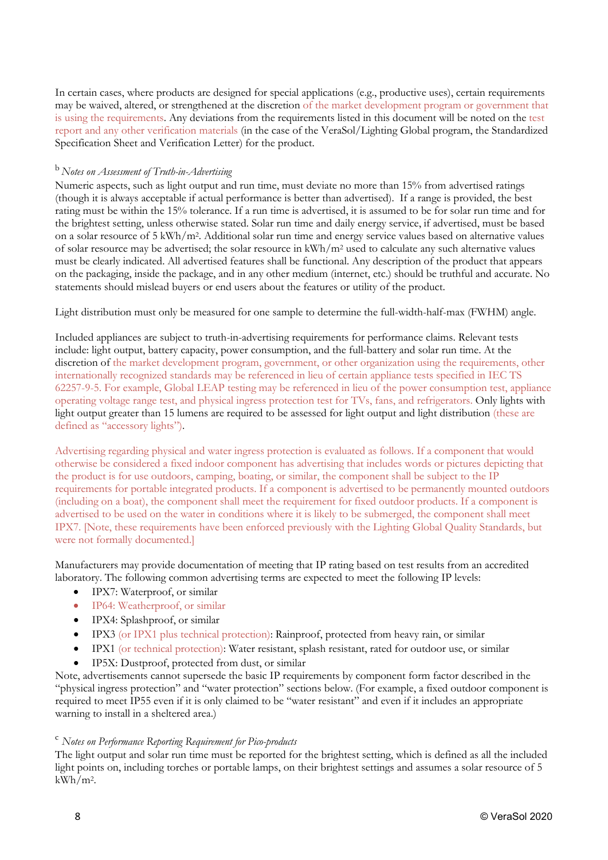In certain cases, where products are designed for special applications (e.g., productive uses), certain requirements may be waived, altered, or strengthened at the discretion of the market development program or government that is using the requirements. Any deviations from the requirements listed in this document will be noted on the test report and any other verification materials (in the case of the VeraSol/Lighting Global program, the Standardized Specification Sheet and Verification Letter) for the product.

### <sup>b</sup> *Notes on Assessment of Truth-in-Advertising*

Numeric aspects, such as light output and run time, must deviate no more than 15% from advertised ratings (though it is always acceptable if actual performance is better than advertised). If a range is provided, the best rating must be within the 15% tolerance. If a run time is advertised, it is assumed to be for solar run time and for the brightest setting, unless otherwise stated. Solar run time and daily energy service, if advertised, must be based on a solar resource of 5 kWh/m2. Additional solar run time and energy service values based on alternative values of solar resource may be advertised; the solar resource in  $kWh/m^2$  used to calculate any such alternative values must be clearly indicated. All advertised features shall be functional. Any description of the product that appears on the packaging, inside the package, and in any other medium (internet, etc.) should be truthful and accurate. No statements should mislead buyers or end users about the features or utility of the product.

Light distribution must only be measured for one sample to determine the full-width-half-max (FWHM) angle.

Included appliances are subject to truth-in-advertising requirements for performance claims. Relevant tests include: light output, battery capacity, power consumption, and the full-battery and solar run time. At the discretion of the market development program, government, or other organization using the requirements, other internationally recognized standards may be referenced in lieu of certain appliance tests specified in IEC TS 62257-9-5. For example, Global LEAP testing may be referenced in lieu of the power consumption test, appliance operating voltage range test, and physical ingress protection test for TVs, fans, and refrigerators. Only lights with light output greater than 15 lumens are required to be assessed for light output and light distribution (these are defined as "accessory lights").

Advertising regarding physical and water ingress protection is evaluated as follows. If a component that would otherwise be considered a fixed indoor component has advertising that includes words or pictures depicting that the product is for use outdoors, camping, boating, or similar, the component shall be subject to the IP requirements for portable integrated products. If a component is advertised to be permanently mounted outdoors (including on a boat), the component shall meet the requirement for fixed outdoor products. If a component is advertised to be used on the water in conditions where it is likely to be submerged, the component shall meet IPX7. [Note, these requirements have been enforced previously with the Lighting Global Quality Standards, but were not formally documented.]

Manufacturers may provide documentation of meeting that IP rating based on test results from an accredited laboratory. The following common advertising terms are expected to meet the following IP levels:

- IPX7: Waterproof, or similar
- IP64: Weatherproof, or similar
- IPX4: Splashproof, or similar
- IPX3 (or IPX1 plus technical protection): Rainproof, protected from heavy rain, or similar
- IPX1 (or technical protection): Water resistant, splash resistant, rated for outdoor use, or similar
- IP5X: Dustproof, protected from dust, or similar

Note, advertisements cannot supersede the basic IP requirements by component form factor described in the "physical ingress protection" and "water protection" sections below. (For example, a fixed outdoor component is required to meet IP55 even if it is only claimed to be "water resistant" and even if it includes an appropriate warning to install in a sheltered area.)

### <sup>c</sup> *Notes on Performance Reporting Requirement for Pico-products*

The light output and solar run time must be reported for the brightest setting, which is defined as all the included light points on, including torches or portable lamps, on their brightest settings and assumes a solar resource of 5 kWh/m2.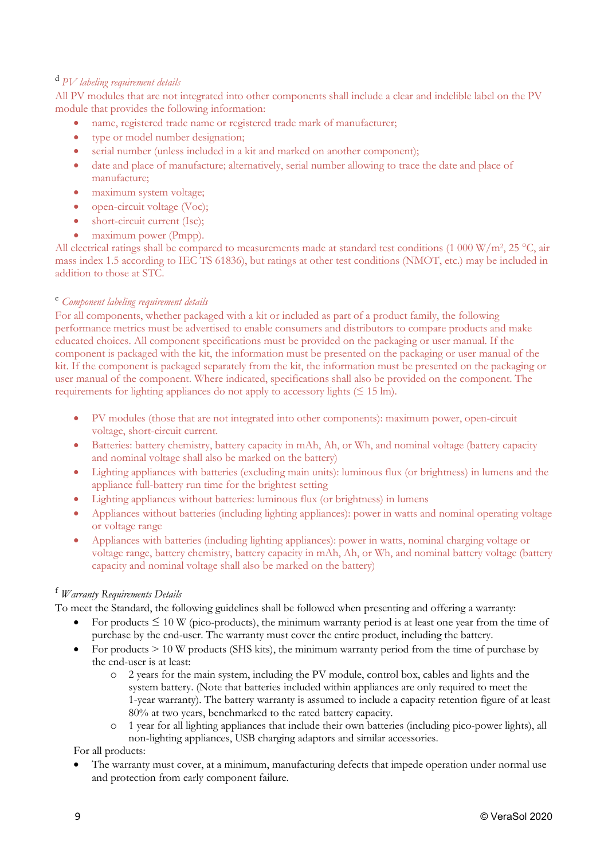# <sup>d</sup> *PV labeling requirement details*

All PV modules that are not integrated into other components shall include a clear and indelible label on the PV module that provides the following information:

- name, registered trade name or registered trade mark of manufacturer;
- type or model number designation;
- serial number (unless included in a kit and marked on another component);
- date and place of manufacture; alternatively, serial number allowing to trace the date and place of manufacture;
- maximum system voltage;
- open-circuit voltage (Voc):
- short-circuit current (Isc);
- maximum power (Pmpp).

All electrical ratings shall be compared to measurements made at standard test conditions (1 000 W/m<sup>2</sup>, 25 °C, air mass index 1.5 according to IEC TS 61836), but ratings at other test conditions (NMOT, etc.) may be included in addition to those at STC.

### <sup>e</sup> *Component labeling requirement details*

For all components, whether packaged with a kit or included as part of a product family, the following performance metrics must be advertised to enable consumers and distributors to compare products and make educated choices. All component specifications must be provided on the packaging or user manual. If the component is packaged with the kit, the information must be presented on the packaging or user manual of the kit. If the component is packaged separately from the kit, the information must be presented on the packaging or user manual of the component. Where indicated, specifications shall also be provided on the component. The requirements for lighting appliances do not apply to accessory lights  $(\leq 15 \text{ lm})$ .

- PV modules (those that are not integrated into other components): maximum power, open-circuit voltage, short-circuit current.
- Batteries: battery chemistry, battery capacity in mAh, Ah, or Wh, and nominal voltage (battery capacity and nominal voltage shall also be marked on the battery)
- Lighting appliances with batteries (excluding main units): luminous flux (or brightness) in lumens and the appliance full-battery run time for the brightest setting
- Lighting appliances without batteries: luminous flux (or brightness) in lumens
- Appliances without batteries (including lighting appliances): power in watts and nominal operating voltage or voltage range
- Appliances with batteries (including lighting appliances): power in watts, nominal charging voltage or voltage range, battery chemistry, battery capacity in mAh, Ah, or Wh, and nominal battery voltage (battery capacity and nominal voltage shall also be marked on the battery)

# <sup>f</sup> *Warranty Requirements Details*

To meet the Standard, the following guidelines shall be followed when presenting and offering a warranty:

- For products  $\leq 10$  W (pico-products), the minimum warranty period is at least one year from the time of purchase by the end-user. The warranty must cover the entire product, including the battery.
- For products > 10 W products (SHS kits), the minimum warranty period from the time of purchase by the end-user is at least:
	- o 2 years for the main system, including the PV module, control box, cables and lights and the system battery. (Note that batteries included within appliances are only required to meet the 1-year warranty). The battery warranty is assumed to include a capacity retention figure of at least 80% at two years, benchmarked to the rated battery capacity.
	- o 1 year for all lighting appliances that include their own batteries (including pico-power lights), all non-lighting appliances, USB charging adaptors and similar accessories.

For all products:

• The warranty must cover, at a minimum, manufacturing defects that impede operation under normal use and protection from early component failure.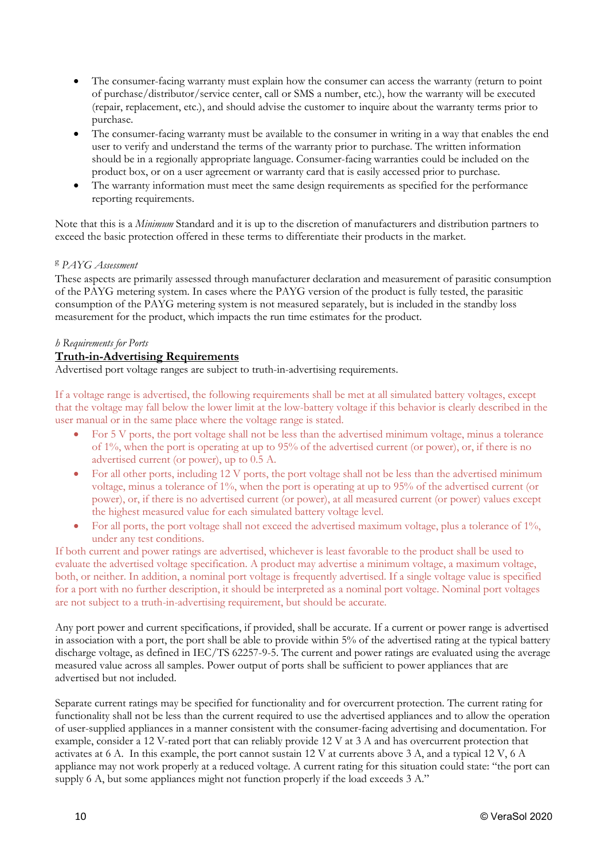- The consumer-facing warranty must explain how the consumer can access the warranty (return to point of purchase/distributor/service center, call or SMS a number, etc.), how the warranty will be executed (repair, replacement, etc.), and should advise the customer to inquire about the warranty terms prior to purchase.
- The consumer-facing warranty must be available to the consumer in writing in a way that enables the end user to verify and understand the terms of the warranty prior to purchase. The written information should be in a regionally appropriate language. Consumer-facing warranties could be included on the product box, or on a user agreement or warranty card that is easily accessed prior to purchase.
- The warranty information must meet the same design requirements as specified for the performance reporting requirements.

Note that this is a *Minimum* Standard and it is up to the discretion of manufacturers and distribution partners to exceed the basic protection offered in these terms to differentiate their products in the market.

### <sup>g</sup> *PAYG Assessment*

These aspects are primarily assessed through manufacturer declaration and measurement of parasitic consumption of the PAYG metering system. In cases where the PAYG version of the product is fully tested, the parasitic consumption of the PAYG metering system is not measured separately, but is included in the standby loss measurement for the product, which impacts the run time estimates for the product.

### *h Requirements for Ports*

### **Truth-in-Advertising Requirements**

Advertised port voltage ranges are subject to truth-in-advertising requirements.

If a voltage range is advertised, the following requirements shall be met at all simulated battery voltages, except that the voltage may fall below the lower limit at the low-battery voltage if this behavior is clearly described in the user manual or in the same place where the voltage range is stated.

- For 5 V ports, the port voltage shall not be less than the advertised minimum voltage, minus a tolerance of 1%, when the port is operating at up to 95% of the advertised current (or power), or, if there is no advertised current (or power), up to 0.5 A.
- For all other ports, including 12 V ports, the port voltage shall not be less than the advertised minimum voltage, minus a tolerance of 1%, when the port is operating at up to 95% of the advertised current (or power), or, if there is no advertised current (or power), at all measured current (or power) values except the highest measured value for each simulated battery voltage level.
- For all ports, the port voltage shall not exceed the advertised maximum voltage, plus a tolerance of 1%, under any test conditions.

If both current and power ratings are advertised, whichever is least favorable to the product shall be used to evaluate the advertised voltage specification. A product may advertise a minimum voltage, a maximum voltage, both, or neither. In addition, a nominal port voltage is frequently advertised. If a single voltage value is specified for a port with no further description, it should be interpreted as a nominal port voltage. Nominal port voltages are not subject to a truth-in-advertising requirement, but should be accurate.

Any port power and current specifications, if provided, shall be accurate. If a current or power range is advertised in association with a port, the port shall be able to provide within 5% of the advertised rating at the typical battery discharge voltage, as defined in IEC/TS 62257-9-5. The current and power ratings are evaluated using the average measured value across all samples. Power output of ports shall be sufficient to power appliances that are advertised but not included.

Separate current ratings may be specified for functionality and for overcurrent protection. The current rating for functionality shall not be less than the current required to use the advertised appliances and to allow the operation of user-supplied appliances in a manner consistent with the consumer-facing advertising and documentation. For example, consider a 12 V-rated port that can reliably provide 12 V at 3 A and has overcurrent protection that activates at 6 A. In this example, the port cannot sustain 12 V at currents above 3 A, and a typical 12 V, 6 A appliance may not work properly at a reduced voltage. A current rating for this situation could state: "the port can supply 6 A, but some appliances might not function properly if the load exceeds 3 A."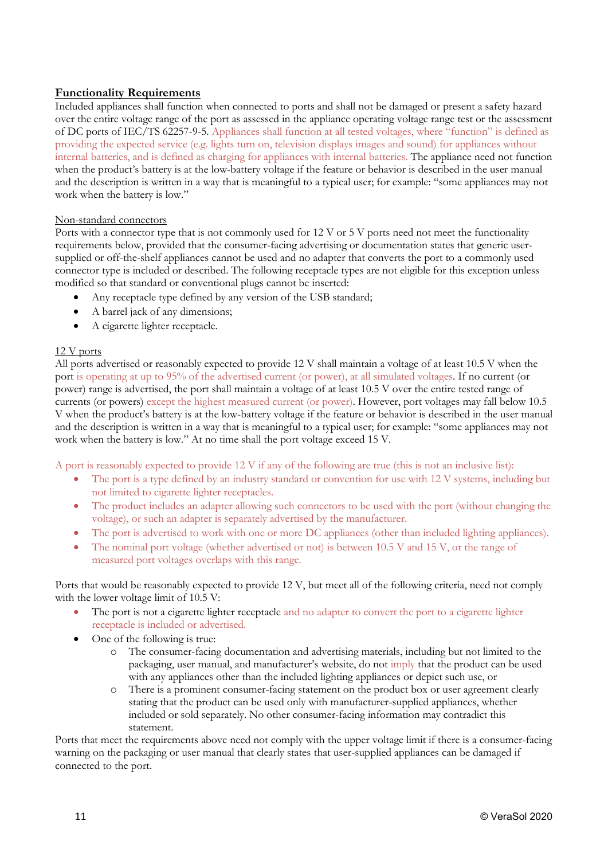# **Functionality Requirements**

Included appliances shall function when connected to ports and shall not be damaged or present a safety hazard over the entire voltage range of the port as assessed in the appliance operating voltage range test or the assessment of DC ports of IEC/TS 62257-9-5. Appliances shall function at all tested voltages, where "function" is defined as providing the expected service (e.g. lights turn on, television displays images and sound) for appliances without internal batteries, and is defined as charging for appliances with internal batteries. The appliance need not function when the product's battery is at the low-battery voltage if the feature or behavior is described in the user manual and the description is written in a way that is meaningful to a typical user; for example: "some appliances may not work when the battery is low."

### Non-standard connectors

Ports with a connector type that is not commonly used for 12 V or 5 V ports need not meet the functionality requirements below, provided that the consumer-facing advertising or documentation states that generic usersupplied or off-the-shelf appliances cannot be used and no adapter that converts the port to a commonly used connector type is included or described. The following receptacle types are not eligible for this exception unless modified so that standard or conventional plugs cannot be inserted:

- Any receptacle type defined by any version of the USB standard;
- A barrel jack of any dimensions;
- A cigarette lighter receptacle.

### 12 V ports

All ports advertised or reasonably expected to provide 12 V shall maintain a voltage of at least 10.5 V when the port is operating at up to 95% of the advertised current (or power), at all simulated voltages. If no current (or power) range is advertised, the port shall maintain a voltage of at least 10.5 V over the entire tested range of currents (or powers) except the highest measured current (or power). However, port voltages may fall below 10.5 V when the product's battery is at the low-battery voltage if the feature or behavior is described in the user manual and the description is written in a way that is meaningful to a typical user; for example: "some appliances may not work when the battery is low." At no time shall the port voltage exceed 15 V.

A port is reasonably expected to provide 12 V if any of the following are true (this is not an inclusive list):

- The port is a type defined by an industry standard or convention for use with 12 V systems, including but not limited to cigarette lighter receptacles.
- The product includes an adapter allowing such connectors to be used with the port (without changing the voltage), or such an adapter is separately advertised by the manufacturer.
- The port is advertised to work with one or more DC appliances (other than included lighting appliances).
- The nominal port voltage (whether advertised or not) is between 10.5 V and 15 V, or the range of measured port voltages overlaps with this range.

Ports that would be reasonably expected to provide 12 V, but meet all of the following criteria, need not comply with the lower voltage limit of 10.5 V:

- The port is not a cigarette lighter receptacle and no adapter to convert the port to a cigarette lighter receptacle is included or advertised.
- One of the following is true:
	- o The consumer-facing documentation and advertising materials, including but not limited to the packaging, user manual, and manufacturer's website, do not imply that the product can be used with any appliances other than the included lighting appliances or depict such use, or
	- o There is a prominent consumer-facing statement on the product box or user agreement clearly stating that the product can be used only with manufacturer-supplied appliances, whether included or sold separately. No other consumer-facing information may contradict this statement.

Ports that meet the requirements above need not comply with the upper voltage limit if there is a consumer-facing warning on the packaging or user manual that clearly states that user-supplied appliances can be damaged if connected to the port.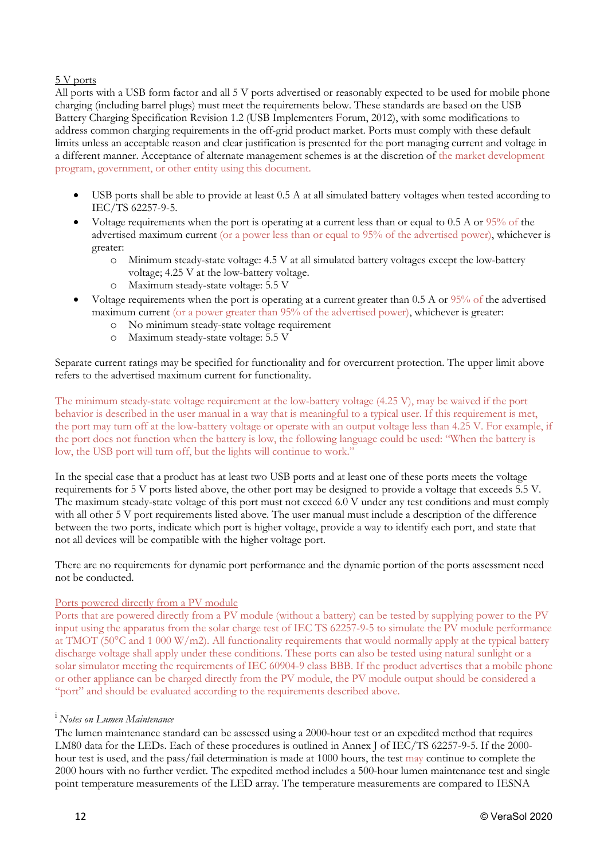### 5 V ports

All ports with a USB form factor and all 5 V ports advertised or reasonably expected to be used for mobile phone charging (including barrel plugs) must meet the requirements below. These standards are based on the USB Battery Charging Specification Revision 1.2 (USB Implementers Forum, 2012), with some modifications to address common charging requirements in the off-grid product market. Ports must comply with these default limits unless an acceptable reason and clear justification is presented for the port managing current and voltage in a different manner. Acceptance of alternate management schemes is at the discretion of the market development program, government, or other entity using this document.

- USB ports shall be able to provide at least 0.5 A at all simulated battery voltages when tested according to IEC/TS 62257-9-5.
- Voltage requirements when the port is operating at a current less than or equal to 0.5 A or 95% of the advertised maximum current (or a power less than or equal to 95% of the advertised power), whichever is greater:
	- o Minimum steady-state voltage: 4.5 V at all simulated battery voltages except the low-battery voltage; 4.25 V at the low-battery voltage.
	- o Maximum steady-state voltage: 5.5 V
- Voltage requirements when the port is operating at a current greater than 0.5 A or 95% of the advertised maximum current (or a power greater than 95% of the advertised power), whichever is greater:
	- o No minimum steady-state voltage requirement
	- o Maximum steady-state voltage: 5.5 V

Separate current ratings may be specified for functionality and for overcurrent protection. The upper limit above refers to the advertised maximum current for functionality.

The minimum steady-state voltage requirement at the low-battery voltage (4.25 V), may be waived if the port behavior is described in the user manual in a way that is meaningful to a typical user. If this requirement is met, the port may turn off at the low-battery voltage or operate with an output voltage less than 4.25 V. For example, if the port does not function when the battery is low, the following language could be used: "When the battery is low, the USB port will turn off, but the lights will continue to work."

In the special case that a product has at least two USB ports and at least one of these ports meets the voltage requirements for 5 V ports listed above, the other port may be designed to provide a voltage that exceeds 5.5 V. The maximum steady-state voltage of this port must not exceed 6.0 V under any test conditions and must comply with all other 5 V port requirements listed above. The user manual must include a description of the difference between the two ports, indicate which port is higher voltage, provide a way to identify each port, and state that not all devices will be compatible with the higher voltage port.

There are no requirements for dynamic port performance and the dynamic portion of the ports assessment need not be conducted.

### Ports powered directly from a PV module

Ports that are powered directly from a PV module (without a battery) can be tested by supplying power to the PV input using the apparatus from the solar charge test of IEC TS 62257-9-5 to simulate the PV module performance at TMOT (50°C and 1 000 W/m2). All functionality requirements that would normally apply at the typical battery discharge voltage shall apply under these conditions. These ports can also be tested using natural sunlight or a solar simulator meeting the requirements of IEC 60904-9 class BBB. If the product advertises that a mobile phone or other appliance can be charged directly from the PV module, the PV module output should be considered a "port" and should be evaluated according to the requirements described above.

# i *Notes on Lumen Maintenance*

The lumen maintenance standard can be assessed using a 2000-hour test or an expedited method that requires LM80 data for the LEDs. Each of these procedures is outlined in Annex J of IEC/TS 62257-9-5. If the 2000 hour test is used, and the pass/fail determination is made at 1000 hours, the test may continue to complete the 2000 hours with no further verdict. The expedited method includes a 500-hour lumen maintenance test and single point temperature measurements of the LED array. The temperature measurements are compared to IESNA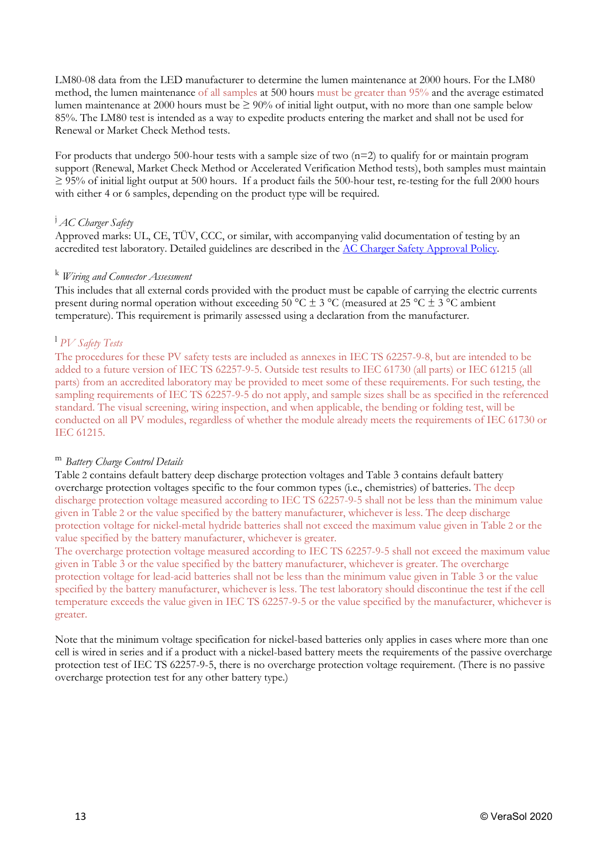LM80-08 data from the LED manufacturer to determine the lumen maintenance at 2000 hours. For the LM80 method, the lumen maintenance of all samples at 500 hours must be greater than 95% and the average estimated lumen maintenance at 2000 hours must be  $\geq 90\%$  of initial light output, with no more than one sample below 85%. The LM80 test is intended as a way to expedite products entering the market and shall not be used for Renewal or Market Check Method tests.

For products that undergo 500-hour tests with a sample size of two  $(n=2)$  to qualify for or maintain program support (Renewal, Market Check Method or Accelerated Verification Method tests), both samples must maintain  $\geq$  95% of initial light output at 500 hours. If a product fails the 500-hour test, re-testing for the full 2000 hours with either 4 or 6 samples, depending on the product type will be required.

# j *AC Charger Safety*

Approved marks: UL, CE, TÜV, CCC, or similar, with accompanying valid documentation of testing by an accredited test laboratory. Detailed guidelines are described in the [AC Charger Safety Approval Policy.](https://www.lightingglobal.org/resource/ac-charger-safety-approval-policy/)

#### <sup>k</sup> *Wiring and Connector Assessment*

This includes that all external cords provided with the product must be capable of carrying the electric currents present during normal operation without exceeding  $50^{\circ}$ C  $\pm$  3  $^{\circ}$ C (measured at 25  $^{\circ}$ C  $\pm$  3  $^{\circ}$ C ambient temperature). This requirement is primarily assessed using a declaration from the manufacturer.

# <sup>l</sup> *PV Safety Tests*

The procedures for these PV safety tests are included as annexes in IEC TS 62257-9-8, but are intended to be added to a future version of IEC TS 62257-9-5. Outside test results to IEC 61730 (all parts) or IEC 61215 (all parts) from an accredited laboratory may be provided to meet some of these requirements. For such testing, the sampling requirements of IEC TS 62257-9-5 do not apply, and sample sizes shall be as specified in the referenced standard. The visual screening, wiring inspection, and when applicable, the bending or folding test, will be conducted on all PV modules, regardless of whether the module already meets the requirements of IEC 61730 or IEC 61215.

#### <sup>m</sup>*Battery Charge Control Details*

[Table](#page-13-0) 2 contains default battery deep discharge protection voltages and [Table 3](#page-13-1) contains default battery overcharge protection voltages specific to the four common types (i.e., chemistries) of batteries. The deep discharge protection voltage measured according to IEC TS 62257-9-5 shall not be less than the minimum value given in [Table](#page-13-0) 2 or the value specified by the battery manufacturer, whichever is less. The deep discharge protection voltage for nickel-metal hydride batteries shall not exceed the maximum value given in [Table](#page-13-0) 2 or the value specified by the battery manufacturer, whichever is greater.

The overcharge protection voltage measured according to IEC TS 62257-9-5 shall not exceed the maximum value given in [Table 3](#page-13-1) or the value specified by the battery manufacturer, whichever is greater. The overcharge protection voltage for lead-acid batteries shall not be less than the minimum value given in [Table 3](#page-13-1) or the value specified by the battery manufacturer, whichever is less. The test laboratory should discontinue the test if the cell temperature exceeds the value given in IEC TS 62257-9-5 or the value specified by the manufacturer, whichever is greater.

Note that the minimum voltage specification for nickel-based batteries only applies in cases where more than one cell is wired in series and if a product with a nickel-based battery meets the requirements of the passive overcharge protection test of IEC TS 62257-9-5, there is no overcharge protection voltage requirement. (There is no passive overcharge protection test for any other battery type.)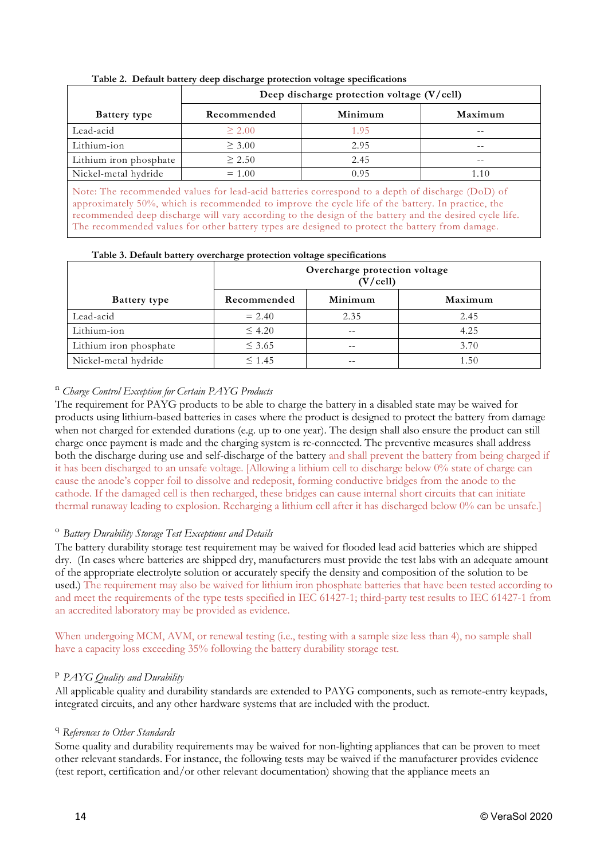<span id="page-13-0"></span>

|                                                                                                                                                                                                            | Deep discharge protection voltage $(V/\text{cell})$ |         |         |
|------------------------------------------------------------------------------------------------------------------------------------------------------------------------------------------------------------|-----------------------------------------------------|---------|---------|
| <b>Battery</b> type                                                                                                                                                                                        | Recommended                                         | Minimum | Maximum |
| Lead-acid                                                                                                                                                                                                  | $\geq 2.00$                                         | 1.95    | --      |
| Lithium-ion                                                                                                                                                                                                | $\geq 3.00$                                         | 2.95    |         |
| Lithium iron phosphate                                                                                                                                                                                     | $\geq 2.50$                                         | 2.45    |         |
| Nickel-metal hydride                                                                                                                                                                                       | $= 1.00$                                            | 0.95    | 1.10    |
| Note: The recommended values for lead-acid batteries correspond to a depth of discharge (DoD) of<br>exaggering to 500 which is no general deliver in a series the explosite of the better In prestige, the |                                                     |         |         |

**Table 2. Default battery deep discharge protection voltage specifications** 

approximately 50%, which is recommended to improve the cycle life of the battery. In practice, the recommended deep discharge will vary according to the design of the battery and the desired cycle life. The recommended values for other battery types are designed to protect the battery from damage.

| Table 3. Default battery overcharge protection voltage specifications |
|-----------------------------------------------------------------------|
|-----------------------------------------------------------------------|

<span id="page-13-1"></span>

|                        | $\mathbf{C}$<br>Overcharge protection voltage<br>(V/cell) |         |         |  |
|------------------------|-----------------------------------------------------------|---------|---------|--|
| <b>Battery type</b>    | Recommended                                               | Minimum | Maximum |  |
| Lead-acid              | $= 2.40$                                                  | 2.35    | 2.45    |  |
| Lithium-ion            | $\leq 4.20$                                               | $- -$   | 4.25    |  |
| Lithium iron phosphate | $\leq$ 3.65                                               | $- -$   | 3.70    |  |
| Nickel-metal hydride   | $\leq 1.45$                                               |         | 1.50    |  |

# <sup>n</sup> *Charge Control Exception for Certain PAYG Products*

The requirement for PAYG products to be able to charge the battery in a disabled state may be waived for products using lithium-based batteries in cases where the product is designed to protect the battery from damage when not charged for extended durations (e.g. up to one year). The design shall also ensure the product can still charge once payment is made and the charging system is re-connected. The preventive measures shall address both the discharge during use and self-discharge of the battery and shall prevent the battery from being charged if it has been discharged to an unsafe voltage. [Allowing a lithium cell to discharge below 0% state of charge can cause the anode's copper foil to dissolve and redeposit, forming conductive bridges from the anode to the cathode. If the damaged cell is then recharged, these bridges can cause internal short circuits that can initiate thermal runaway leading to explosion. Recharging a lithium cell after it has discharged below 0% can be unsafe.]

# <sup>o</sup>*Battery Durability Storage Test Exceptions and Details*

The battery durability storage test requirement may be waived for flooded lead acid batteries which are shipped dry. (In cases where batteries are shipped dry, manufacturers must provide the test labs with an adequate amount of the appropriate electrolyte solution or accurately specify the density and composition of the solution to be used.) The requirement may also be waived for lithium iron phosphate batteries that have been tested according to and meet the requirements of the type tests specified in IEC 61427-1; third-party test results to IEC 61427-1 from an accredited laboratory may be provided as evidence.

When undergoing MCM, AVM, or renewal testing (i.e., testing with a sample size less than 4), no sample shall have a capacity loss exceeding 35% following the battery durability storage test.

# <sup>p</sup> *PAYG Quality and Durability*

All applicable quality and durability standards are extended to PAYG components, such as remote-entry keypads, integrated circuits, and any other hardware systems that are included with the product.

### <sup>q</sup> *References to Other Standards*

Some quality and durability requirements may be waived for non-lighting appliances that can be proven to meet other relevant standards. For instance, the following tests may be waived if the manufacturer provides evidence (test report, certification and/or other relevant documentation) showing that the appliance meets an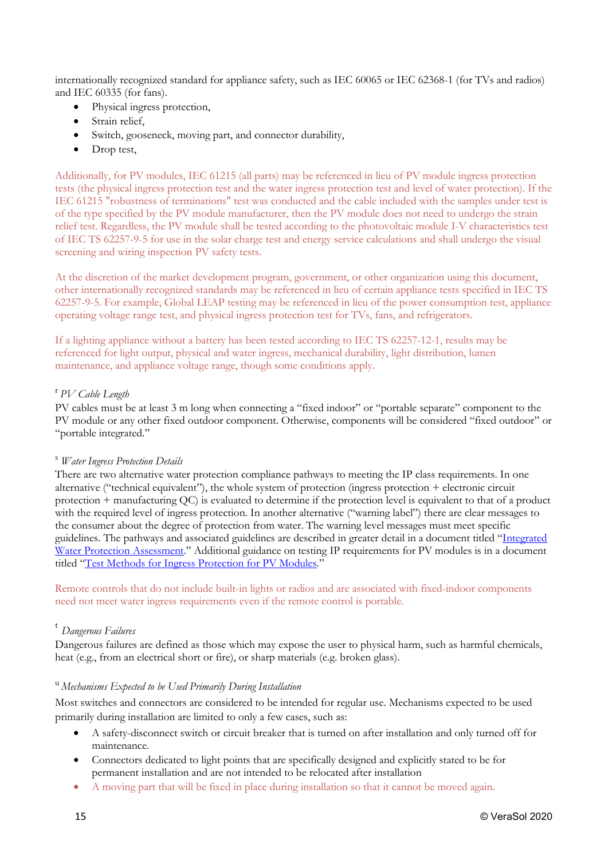internationally recognized standard for appliance safety, such as IEC 60065 or IEC 62368-1 (for TVs and radios) and IEC 60335 (for fans).

- Physical ingress protection,
- Strain relief.
- Switch, gooseneck, moving part, and connector durability,
- Drop test,

Additionally, for PV modules, IEC 61215 (all parts) may be referenced in lieu of PV module ingress protection tests (the physical ingress protection test and the water ingress protection test and level of water protection). If the IEC 61215 "robustness of terminations" test was conducted and the cable included with the samples under test is of the type specified by the PV module manufacturer, then the PV module does not need to undergo the strain relief test. Regardless, the PV module shall be tested according to the photovoltaic module I-V characteristics test of IEC TS 62257-9-5 for use in the solar charge test and energy service calculations and shall undergo the visual screening and wiring inspection PV safety tests.

At the discretion of the market development program, government, or other organization using this document, other internationally recognized standards may be referenced in lieu of certain appliance tests specified in IEC TS 62257-9-5. For example, Global LEAP testing may be referenced in lieu of the power consumption test, appliance operating voltage range test, and physical ingress protection test for TVs, fans, and refrigerators.

If a lighting appliance without a battery has been tested according to IEC TS 62257-12-1, results may be referenced for light output, physical and water ingress, mechanical durability, light distribution, lumen maintenance, and appliance voltage range, though some conditions apply.

### <sup>r</sup> *PV Cable Length*

PV cables must be at least 3 m long when connecting a "fixed indoor" or "portable separate" component to the PV module or any other fixed outdoor component. Otherwise, components will be considered "fixed outdoor" or "portable integrated."

### <sup>s</sup> *Water Ingress Protection Details*

There are two alternative water protection compliance pathways to meeting the IP class requirements. In one alternative ("technical equivalent"), the whole system of protection (ingress protection + electronic circuit protection + manufacturing QC) is evaluated to determine if the protection level is equivalent to that of a product with the required level of ingress protection. In another alternative ("warning label") there are clear messages to the consumer about the degree of protection from water. The warning level messages must meet specific guidelines. The pathways and associated guidelines are described in greater detail in a document titled ["Integrated](https://www.lightingglobal.org/resource/integrated-water-protection-assessment/)  [Water Protection Assessment.](https://www.lightingglobal.org/resource/integrated-water-protection-assessment/)" Additional guidance on testing IP requirements for PV modules is in a document titled ["Test Methods for Ingress Protection for](https://www.lightingglobal.org/resource/ip-test-methods-for-pv-modules/) PV Modules."

Remote controls that do not include built-in lights or radios and are associated with fixed-indoor components need not meet water ingress requirements even if the remote control is portable.

### <sup>t</sup> *Dangerous Failures*

Dangerous failures are defined as those which may expose the user to physical harm, such as harmful chemicals, heat (e.g., from an electrical short or fire), or sharp materials (e.g. broken glass).

### <sup>u</sup> *Mechanisms Expected to be Used Primarily During Installation*

Most switches and connectors are considered to be intended for regular use. Mechanisms expected to be used primarily during installation are limited to only a few cases, such as:

- A safety-disconnect switch or circuit breaker that is turned on after installation and only turned off for maintenance.
- Connectors dedicated to light points that are specifically designed and explicitly stated to be for permanent installation and are not intended to be relocated after installation
- A moving part that will be fixed in place during installation so that it cannot be moved again.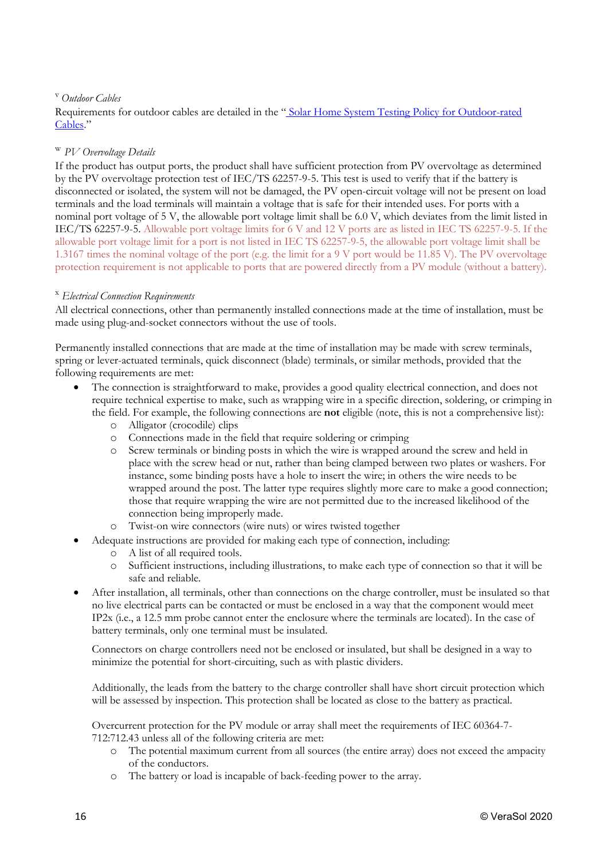# <sup>v</sup> *Outdoor Cables*

Requirements for outdoor cables are detailed in the " [Solar Home System Testing Policy for Outdoor-rated](https://www.lightingglobal.org/resource/outdoor-cable-policy/)  [Cables.](https://www.lightingglobal.org/resource/outdoor-cable-policy/)"

### <sup>w</sup> *PV Overvoltage Details*

If the product has output ports, the product shall have sufficient protection from PV overvoltage as determined by the PV overvoltage protection test of IEC/TS 62257-9-5. This test is used to verify that if the battery is disconnected or isolated, the system will not be damaged, the PV open-circuit voltage will not be present on load terminals and the load terminals will maintain a voltage that is safe for their intended uses. For ports with a nominal port voltage of 5 V, the allowable port voltage limit shall be 6.0 V, which deviates from the limit listed in IEC/TS 62257-9-5. Allowable port voltage limits for 6 V and 12 V ports are as listed in IEC TS 62257-9-5. If the allowable port voltage limit for a port is not listed in IEC TS 62257-9-5, the allowable port voltage limit shall be 1.3167 times the nominal voltage of the port (e.g. the limit for a 9 V port would be 11.85 V). The PV overvoltage protection requirement is not applicable to ports that are powered directly from a PV module (without a battery).

### <sup>x</sup> *Electrical Connection Requirements*

All electrical connections, other than permanently installed connections made at the time of installation, must be made using plug-and-socket connectors without the use of tools.

Permanently installed connections that are made at the time of installation may be made with screw terminals, spring or lever-actuated terminals, quick disconnect (blade) terminals, or similar methods, provided that the following requirements are met:

- The connection is straightforward to make, provides a good quality electrical connection, and does not require technical expertise to make, such as wrapping wire in a specific direction, soldering, or crimping in the field. For example, the following connections are **not** eligible (note, this is not a comprehensive list):
	- o Alligator (crocodile) clips
	- o Connections made in the field that require soldering or crimping
	- o Screw terminals or binding posts in which the wire is wrapped around the screw and held in place with the screw head or nut, rather than being clamped between two plates or washers. For instance, some binding posts have a hole to insert the wire; in others the wire needs to be wrapped around the post. The latter type requires slightly more care to make a good connection; those that require wrapping the wire are not permitted due to the increased likelihood of the connection being improperly made.
	- Twist-on wire connectors (wire nuts) or wires twisted together
- Adequate instructions are provided for making each type of connection, including:
	- o A list of all required tools.
	- Sufficient instructions, including illustrations, to make each type of connection so that it will be safe and reliable.
- After installation, all terminals, other than connections on the charge controller, must be insulated so that no live electrical parts can be contacted or must be enclosed in a way that the component would meet IP2x (i.e., a 12.5 mm probe cannot enter the enclosure where the terminals are located). In the case of battery terminals, only one terminal must be insulated.

Connectors on charge controllers need not be enclosed or insulated, but shall be designed in a way to minimize the potential for short-circuiting, such as with plastic dividers.

Additionally, the leads from the battery to the charge controller shall have short circuit protection which will be assessed by inspection. This protection shall be located as close to the battery as practical.

Overcurrent protection for the PV module or array shall meet the requirements of IEC 60364-7- 712:712.43 unless all of the following criteria are met:

- o The potential maximum current from all sources (the entire array) does not exceed the ampacity of the conductors.
- o The battery or load is incapable of back-feeding power to the array.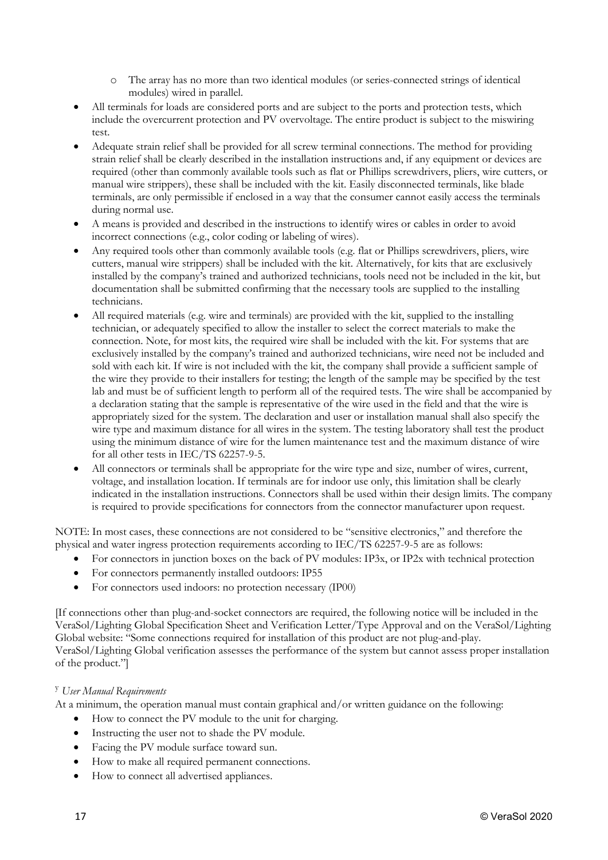- o The array has no more than two identical modules (or series-connected strings of identical modules) wired in parallel.
- All terminals for loads are considered ports and are subject to the ports and protection tests, which include the overcurrent protection and PV overvoltage. The entire product is subject to the miswiring test.
- Adequate strain relief shall be provided for all screw terminal connections. The method for providing strain relief shall be clearly described in the installation instructions and, if any equipment or devices are required (other than commonly available tools such as flat or Phillips screwdrivers, pliers, wire cutters, or manual wire strippers), these shall be included with the kit. Easily disconnected terminals, like blade terminals, are only permissible if enclosed in a way that the consumer cannot easily access the terminals during normal use.
- A means is provided and described in the instructions to identify wires or cables in order to avoid incorrect connections (e.g., color coding or labeling of wires).
- Any required tools other than commonly available tools (e.g. flat or Phillips screwdrivers, pliers, wire cutters, manual wire strippers) shall be included with the kit. Alternatively, for kits that are exclusively installed by the company's trained and authorized technicians, tools need not be included in the kit, but documentation shall be submitted confirming that the necessary tools are supplied to the installing technicians.
- All required materials (e.g. wire and terminals) are provided with the kit, supplied to the installing technician, or adequately specified to allow the installer to select the correct materials to make the connection. Note, for most kits, the required wire shall be included with the kit. For systems that are exclusively installed by the company's trained and authorized technicians, wire need not be included and sold with each kit. If wire is not included with the kit, the company shall provide a sufficient sample of the wire they provide to their installers for testing; the length of the sample may be specified by the test lab and must be of sufficient length to perform all of the required tests. The wire shall be accompanied by a declaration stating that the sample is representative of the wire used in the field and that the wire is appropriately sized for the system. The declaration and user or installation manual shall also specify the wire type and maximum distance for all wires in the system. The testing laboratory shall test the product using the minimum distance of wire for the lumen maintenance test and the maximum distance of wire for all other tests in IEC/TS 62257-9-5.
- All connectors or terminals shall be appropriate for the wire type and size, number of wires, current, voltage, and installation location. If terminals are for indoor use only, this limitation shall be clearly indicated in the installation instructions. Connectors shall be used within their design limits. The company is required to provide specifications for connectors from the connector manufacturer upon request.

NOTE: In most cases, these connections are not considered to be "sensitive electronics," and therefore the physical and water ingress protection requirements according to IEC/TS 62257-9-5 are as follows:

- For connectors in junction boxes on the back of PV modules: IP3x, or IP2x with technical protection
- For connectors permanently installed outdoors: IP55
- For connectors used indoors: no protection necessary (IP00)

[If connections other than plug-and-socket connectors are required, the following notice will be included in the VeraSol/Lighting Global Specification Sheet and Verification Letter/Type Approval and on the VeraSol/Lighting Global website: "Some connections required for installation of this product are not plug-and-play. VeraSol/Lighting Global verification assesses the performance of the system but cannot assess proper installation of the product."]

### <sup>y</sup> *User Manual Requirements*

At a minimum, the operation manual must contain graphical and/or written guidance on the following:

- How to connect the PV module to the unit for charging.
- Instructing the user not to shade the PV module.
- Facing the PV module surface toward sun.
- How to make all required permanent connections.
- How to connect all advertised appliances.